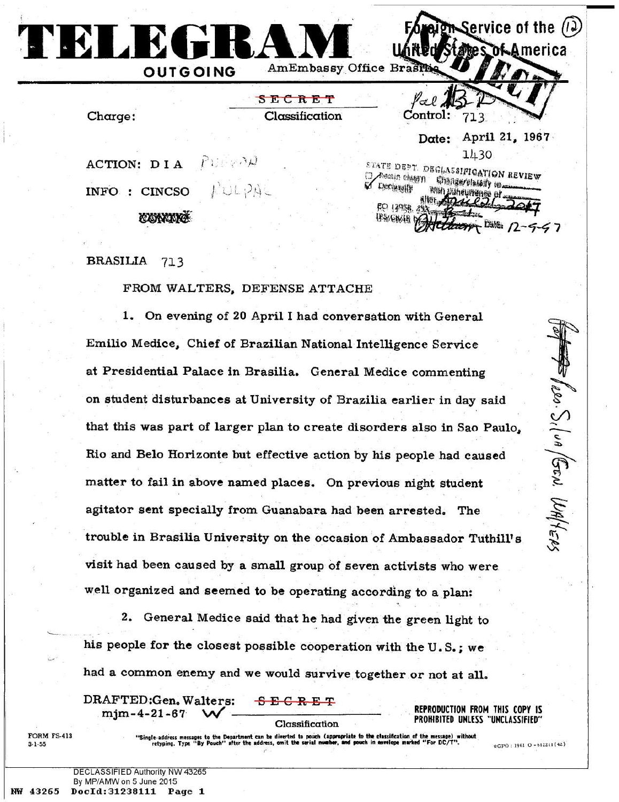Service of the  $(12)$ **TELEGRAM**<br> **THE ALGEBRANCE OF START "S E C R E T** *fladL* \_ **Control:** 713 Charge: **Classification Date: April 21, 1967** 1430<br>ETATE DEPT. DEGLASSIFICATION REVIEW *'Ü* **ACTION: DIA Resein clugn** Changerolassify tel **INFO : CINCSO | Declassify** With Streuments of **pp** *\m§. ii* **© M R**  $77 + 2418$ 

## **BRASILIA** 713

## **FROM WALTERS, DEFENSE ATTACHE**

**1. On evening of 20 April I had conversation with General Emilio Medice, Chief of Brazilian National Intelligence Service at Presidential Palace in Brasilia. General Medice commenting on student disturbances at University of Brazilia earlier in day said that this was part of larger plan to create disorders also in Sao Paulo, Rio and Belo Horizonte but effective action by his people had caused matter to fail in above named places. On previous night student agitator sent specially from Guanabara had been arrested. The trouble in Brasilia University on the occasion of Ambassador Tuthill' s visit had been caused by a small group of seven activists who were well organized and seemed to be operating according to a plan:**

**2. General Medice said that he had given the green light to his people for the closest possible cooperation with the U .S .; we had a common enemy and we would survive together or not at all.**

**DRAFTED :G en. Walters: -S E C R E T** mjm-4-21-67

Classification

REPRODUCTION FROM THIS COPY IS PROHIBITED UNLESS "UNCLASSIFIED"

FORM FS-413 3-1-55

"Single-address messages to the Department can be diverted to pouch (appropriate to the classification of the message) without<br>retyping. Type "By Pouch" after the address, omit the serial number, and pouch in envelope mark

 $\Rightarrow$   $\int_{\ell} \omega$ .  $S_{\ell}$   $\int_{\omega} \theta \int_{\mathbb{S}^{\infty}} dV d\psi_{\ell} e_{\ell} s$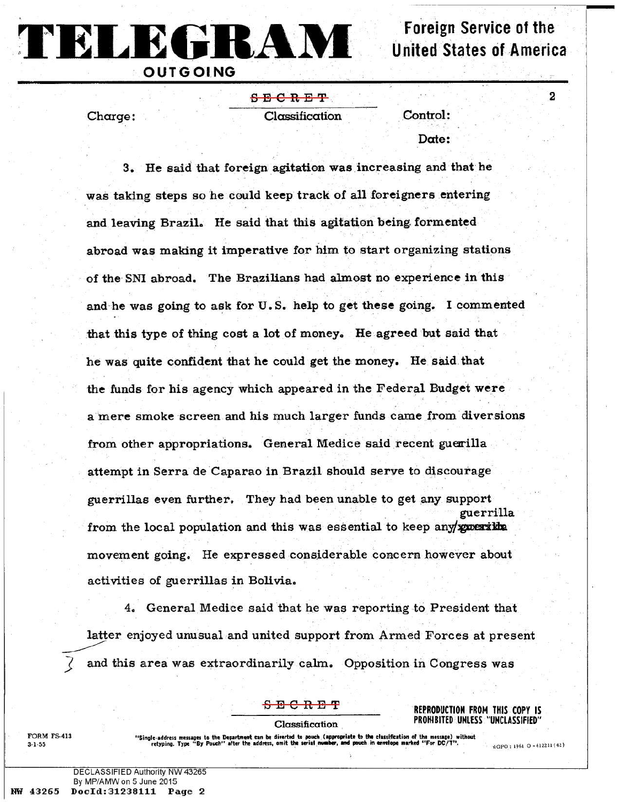**Foreign Service of the United States of America** 

 $\overline{\mathbf{2}}$ 

**TELEGRAM**

**S E C R E T**

Charge: Classification Control:

Date:

**3. He said that foreign agitation was increasing and that he was taking steps so he could keep track of all foreigners entering and leaving Brazil. He said that this agitation being formented abroad was making it imperative for him to start organizing stations of the SNI abroad. The Brazilians had almost no experience in this and he was going to ask for U.S. help to get these going. I commented that this type of thing cost a lot of money. He agreed but said that he was quite confident that he could get the money. He said that the funds for his agency which appeared in the Federal Budget were a mere smoke screen and his much larger funds came from diversions** from other appropriations. General Medice said recent guerilla **attempt in Serra de Caparao in Brazil should serve to discourage guerrillas even further. They had been unable to get any support guerrilla** from the local population and this was essential to keep any/**guerika movement going. He expressed considerable concern however about activities of guerrillas in Bolivia.**

**4. General Medice said that he was reporting to President that latter enjoyed unusual and united support from Armed Forces at present and this area was extraordinarily calm. Opposition in Congress was**

**E C R E T REPRODUCTION FROM THIS COPY IS** Classification PROHIBITED UNLESS "UNCLASSIFIED"

FORM FS-413 " Single-address messages to the Department can be diverted to pouch (appropriate to the classification of the message) without 3-1-55 retyping. Type " By Pouch" after the address, omit the serial m»bcr, and pouch in «»«lope marked " For DC/T" . 4Gpo. 19f>1 0 \_612211 (42)